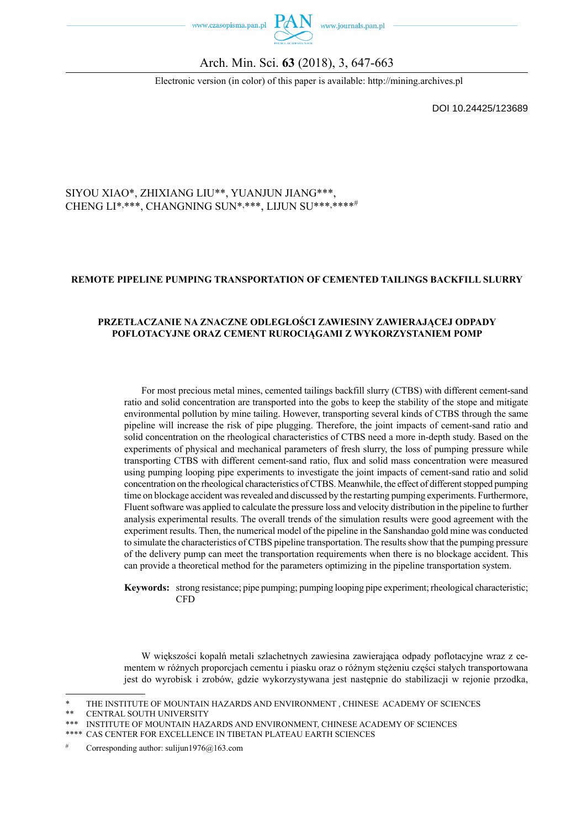



### Arch. Min. Sci. **63** (2018), 3, 647-663

Electronic version (in color) of this paper is available: http://mining.archives.pl

DOI 10.24425/123689

#### SIYOU XIAO\*, ZHIXIANG LIU\*\*, YUANJUN JIANG\*\*\*, CHENG LI\*,\*\*\*, CHANGNING SUN\*,\*\*\*, LIJUN SU\*\*\*,\*\*\*\*\*

#### **REMOTE PIPELINE PUMPING TRANSPORTATION OF CEMENTED TAILINGS BACKFILL SLURRY**

#### **PRZETŁACZANIE NA ZNACZNE ODLEGŁOŚCI ZAWIESINY ZAWIERAJĄCEJ ODPADY POFLOTACYJNE ORAZ CEMENT RUROCIĄGAMI Z WYKORZYSTANIEM POMP**

For most precious metal mines, cemented tailings backfill slurry (CTBS) with different cement-sand ratio and solid concentration are transported into the gobs to keep the stability of the stope and mitigate environmental pollution by mine tailing. However, transporting several kinds of CTBS through the same pipeline will increase the risk of pipe plugging. Therefore, the joint impacts of cement-sand ratio and solid concentration on the rheological characteristics of CTBS need a more in-depth study. Based on the experiments of physical and mechanical parameters of fresh slurry, the loss of pumping pressure while transporting CTBS with different cement-sand ratio, flux and solid mass concentration were measured using pumping looping pipe experiments to investigate the joint impacts of cement-sand ratio and solid concentration on the rheological characteristics of CTBS. Meanwhile, the effect of different stopped pumping time on blockage accident was revealed and discussed by the restarting pumping experiments. Furthermore, Fluent software was applied to calculate the pressure loss and velocity distribution in the pipeline to further analysis experimental results. The overall trends of the simulation results were good agreement with the experiment results. Then, the numerical model of the pipeline in the Sanshandao gold mine was conducted to simulate the characteristics of CTBS pipeline transportation. The results show that the pumping pressure of the delivery pump can meet the transportation requirements when there is no blockage accident. This can provide a theoretical method for the parameters optimizing in the pipeline transportation system.

**Keywords:** strong resistance; pipe pumping; pumping looping pipe experiment; rheological characteristic; CFD

W większości kopalń metali szlachetnych zawiesina zawierająca odpady poflotacyjne wraz z cementem w różnych proporcjach cementu i piasku oraz o różnym stężeniu części stałych transportowana jest do wyrobisk i zrobów, gdzie wykorzystywana jest następnie do stabilizacji w rejonie przodka,

THE INSTITUTE OF MOUNTAIN HAZARDS AND ENVIRONMENT , CHINESE ACADEMY OF SCIENCES

<sup>\*\*</sup> CENTRAL SOUTH UNIVERSITY

<sup>\*\*\*</sup> INSTITUTE OF MOUNTAIN HAZARDS AND ENVIRONMENT, CHINESE ACADEMY OF SCIENCES

CAS CENTER FOR EXCELLENCE IN TIBETAN PLATEAU EARTH SCIENCES

Corresponding author: sulijun1976 $@163$ .com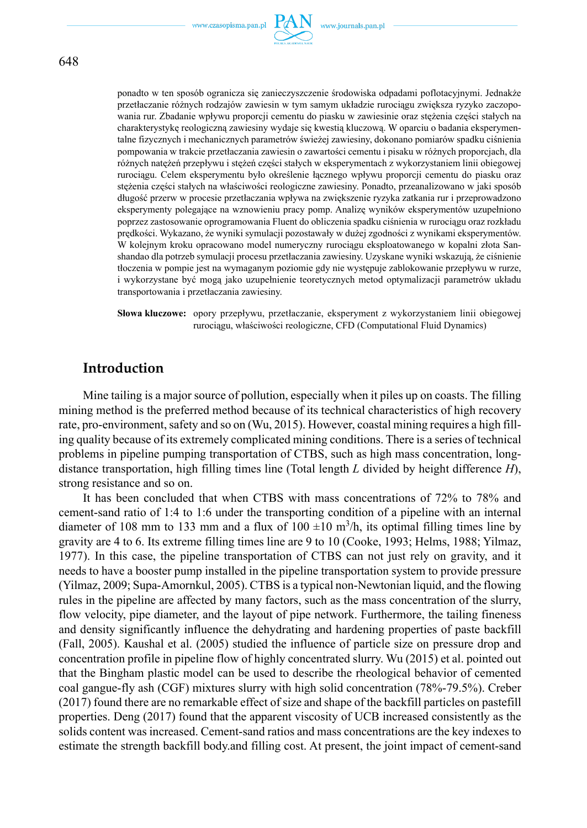

ponadto w ten sposób ogranicza się zanieczyszczenie środowiska odpadami poflotacyjnymi. Jednakże przetłaczanie różnych rodzajów zawiesin w tym samym układzie rurociągu zwiększa ryzyko zaczopowania rur. Zbadanie wpływu proporcji cementu do piasku w zawiesinie oraz stężenia części stałych na charakterystykę reologiczną zawiesiny wydaje się kwestią kluczową. W oparciu o badania eksperymentalne fizycznych i mechanicznych parametrów świeżej zawiesiny, dokonano pomiarów spadku ciśnienia pompowania w trakcie przetłaczania zawiesin o zawartości cementu i pisaku w różnych proporcjach, dla różnych natężeń przepływu i stężeń części stałych w eksperymentach z wykorzystaniem linii obiegowej rurociągu. Celem eksperymentu było określenie łącznego wpływu proporcji cementu do piasku oraz stężenia części stałych na właściwości reologiczne zawiesiny. Ponadto, przeanalizowano w jaki sposób długość przerw w procesie przetłaczania wpływa na zwiększenie ryzyka zatkania rur i przeprowadzono eksperymenty polegające na wznowieniu pracy pomp. Analizę wyników eksperymentów uzupełniono poprzez zastosowanie oprogramowania Fluent do obliczenia spadku ciśnienia w rurociągu oraz rozkładu prędkości. Wykazano, że wyniki symulacji pozostawały w dużej zgodności z wynikami eksperymentów. W kolejnym kroku opracowano model numeryczny rurociągu eksploatowanego w kopalni złota Sanshandao dla potrzeb symulacji procesu przetłaczania zawiesiny. Uzyskane wyniki wskazują, że ciśnienie tłoczenia w pompie jest na wymaganym poziomie gdy nie występuje zablokowanie przepływu w rurze, i wykorzystane być mogą jako uzupełnienie teoretycznych metod optymalizacji parametrów układu transportowania i przetłaczania zawiesiny.

**Słowa kluczowe:** opory przepływu, przetłaczanie, eksperyment z wykorzystaniem linii obiegowej rurociągu, właściwości reologiczne, CFD (Computational Fluid Dynamics)

### **Introduction**

Mine tailing is a major source of pollution, especially when it piles up on coasts. The filling mining method is the preferred method because of its technical characteristics of high recovery rate, pro-environment, safety and so on (Wu, 2015). However, coastal mining requires a high filling quality because of its extremely complicated mining conditions. There is a series of technical problems in pipeline pumping transportation of CTBS, such as high mass concentration, longdistance transportation, high filling times line (Total length *L* divided by height difference *H*), strong resistance and so on.

It has been concluded that when CTBS with mass concentrations of 72% to 78% and cement-sand ratio of 1:4 to 1:6 under the transporting condition of a pipeline with an internal diameter of 108 mm to 133 mm and a flux of 100  $\pm$ 10 m<sup>3</sup>/h, its optimal filling times line by gravity are 4 to 6. Its extreme filling times line are 9 to 10 (Cooke, 1993; Helms, 1988; Yilmaz, 1977). In this case, the pipeline transportation of CTBS can not just rely on gravity, and it needs to have a booster pump installed in the pipeline transportation system to provide pressure (Yilmaz, 2009; Supa-Amornkul, 2005). CTBS is a typical non-Newtonian liquid, and the flowing rules in the pipeline are affected by many factors, such as the mass concentration of the slurry, flow velocity, pipe diameter, and the layout of pipe network. Furthermore, the tailing fineness and density significantly influence the dehydrating and hardening properties of paste backfill (Fall, 2005). Kaushal et al. (2005) studied the influence of particle size on pressure drop and concentration profile in pipeline flow of highly concentrated slurry. Wu (2015) et al. pointed out that the Bingham plastic model can be used to describe the rheological behavior of cemented coal gangue-fly ash (CGF) mixtures slurry with high solid concentration (78%-79.5%). Creber (2017) found there are no remarkable effect of size and shape of the backfill particles on pastefill properties. Deng (2017) found that the apparent viscosity of UCB increased consistently as the solids content was increased. Cement-sand ratios and mass concentrations are the key indexes to estimate the strength backfill body.and filling cost. At present, the joint impact of cement-sand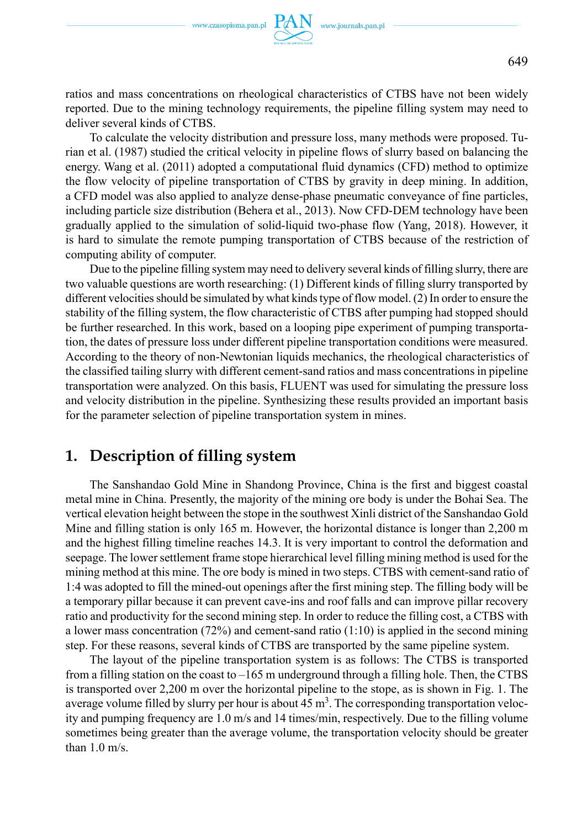ratios and mass concentrations on rheological characteristics of CTBS have not been widely reported. Due to the mining technology requirements, the pipeline filling system may need to deliver several kinds of CTBS.

To calculate the velocity distribution and pressure loss, many methods were proposed. Turian et al. (1987) studied the critical velocity in pipeline flows of slurry based on balancing the energy. Wang et al. (2011) adopted a computational fluid dynamics (CFD) method to optimize the flow velocity of pipeline transportation of CTBS by gravity in deep mining. In addition, a CFD model was also applied to analyze dense-phase pneumatic conveyance of fine particles, including particle size distribution (Behera et al., 2013). Now CFD-DEM technology have been gradually applied to the simulation of solid-liquid two-phase flow (Yang, 2018). However, it is hard to simulate the remote pumping transportation of CTBS because of the restriction of computing ability of computer.

Due to the pipeline filling system may need to delivery several kinds of filling slurry, there are two valuable questions are worth researching: (1) Different kinds of filling slurry transported by different velocities should be simulated by what kinds type of flow model. (2) In order to ensure the stability of the filling system, the flow characteristic of CTBS after pumping had stopped should be further researched. In this work, based on a looping pipe experiment of pumping transportation, the dates of pressure loss under different pipeline transportation conditions were measured. According to the theory of non-Newtonian liquids mechanics, the rheological characteristics of the classified tailing slurry with different cement-sand ratios and mass concentrations in pipeline transportation were analyzed. On this basis, FLUENT was used for simulating the pressure loss and velocity distribution in the pipeline. Synthesizing these results provided an important basis for the parameter selection of pipeline transportation system in mines.

## **1. Description of filling system**

The Sanshandao Gold Mine in Shandong Province, China is the first and biggest coastal metal mine in China. Presently, the majority of the mining ore body is under the Bohai Sea. The vertical elevation height between the stope in the southwest Xinli district of the Sanshandao Gold Mine and filling station is only 165 m. However, the horizontal distance is longer than 2,200 m and the highest filling timeline reaches 14.3. It is very important to control the deformation and seepage. The lower settlement frame stope hierarchical level filling mining method is used for the mining method at this mine. The ore body is mined in two steps. CTBS with cement-sand ratio of 1:4 was adopted to fill the mined-out openings after the first mining step. The filling body will be a temporary pillar because it can prevent cave-ins and roof falls and can improve pillar recovery ratio and productivity for the second mining step. In order to reduce the filling cost, a CTBS with a lower mass concentration  $(72%)$  and cement-sand ratio  $(1:10)$  is applied in the second mining step. For these reasons, several kinds of CTBS are transported by the same pipeline system.

The layout of the pipeline transportation system is as follows: The CTBS is transported from a filling station on the coast to –165 m underground through a filling hole. Then, the CTBS is transported over 2,200 m over the horizontal pipeline to the stope, as is shown in Fig. 1. The average volume filled by slurry per hour is about  $45 \text{ m}^3$ . The corresponding transportation velocity and pumping frequency are 1.0 m/s and 14 times/min, respectively. Due to the filling volume sometimes being greater than the average volume, the transportation velocity should be greater than 1.0 m/s.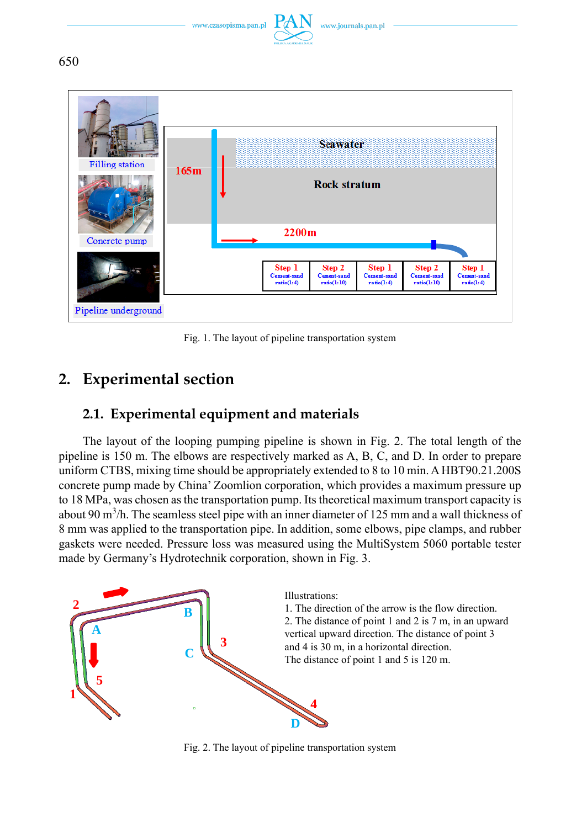

650



Fig. 1. The layout of pipeline transportation system

# **2. Experimental section**

## **2.1. Experimental equipment and materials**

The layout of the looping pumping pipeline is shown in Fig. 2. The total length of the pipeline is 150 m. The elbows are respectively marked as A, B, C, and D. In order to prepare uniform CTBS, mixing time should be appropriately extended to 8 to 10 min. A HBT90.21.200S concrete pump made by China' Zoomlion corporation, which provides a maximum pressure up to 18 MPa, was chosen as the transportation pump. Its theoretical maximum transport capacity is about 90 m<sup>3</sup>/h. The seamless steel pipe with an inner diameter of 125 mm and a wall thickness of 8 mm was applied to the transportation pipe. In addition, some elbows, pipe clamps, and rubber gaskets were needed. Pressure loss was measured using the MultiSystem 5060 portable tester made by Germany's Hydrotechnik corporation, shown in Fig. 3.



Fig. 2. The layout of pipeline transportation system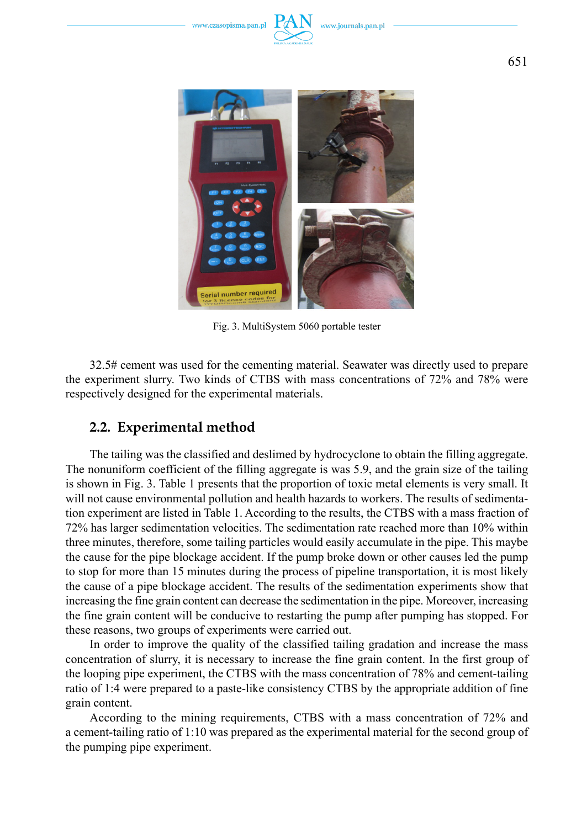



Fig. 3. MultiSystem 5060 portable tester

32.5# cement was used for the cementing material. Seawater was directly used to prepare the experiment slurry. Two kinds of CTBS with mass concentrations of 72% and 78% were respectively designed for the experimental materials.

### **2.2. Experimental method**

The tailing was the classified and deslimed by hydrocyclone to obtain the filling aggregate. The nonuniform coefficient of the filling aggregate is was 5.9, and the grain size of the tailing is shown in Fig. 3. Table 1 presents that the proportion of toxic metal elements is very small. It will not cause environmental pollution and health hazards to workers. The results of sedimentation experiment are listed in Table 1. According to the results, the CTBS with a mass fraction of 72% has larger sedimentation velocities. The sedimentation rate reached more than 10% within three minutes, therefore, some tailing particles would easily accumulate in the pipe. This maybe the cause for the pipe blockage accident. If the pump broke down or other causes led the pump to stop for more than 15 minutes during the process of pipeline transportation, it is most likely the cause of a pipe blockage accident. The results of the sedimentation experiments show that increasing the fine grain content can decrease the sedimentation in the pipe. Moreover, increasing the fine grain content will be conducive to restarting the pump after pumping has stopped. For these reasons, two groups of experiments were carried out.

In order to improve the quality of the classified tailing gradation and increase the mass concentration of slurry, it is necessary to increase the fine grain content. In the first group of the looping pipe experiment, the CTBS with the mass concentration of 78% and cement-tailing ratio of 1:4 were prepared to a paste-like consistency CTBS by the appropriate addition of fine grain content.

According to the mining requirements, CTBS with a mass concentration of 72% and a cement-tailing ratio of 1:10 was prepared as the experimental material for the second group of the pumping pipe experiment.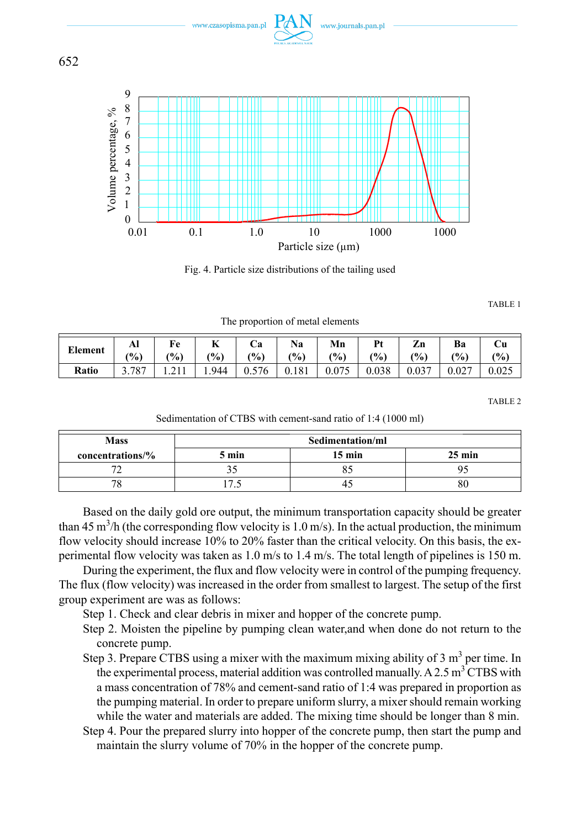

www.czasopisma.pan.pl

www.journals.pan.pl

Fig. 4. Particle size distributions of the tailing used

TABLE 1

The proportion of metal elements

| <b>Element</b> | Al<br>$\frac{9}{0}$ | $\frac{9}{0}$ | --<br>$\frac{10}{6}$ | Uа<br>(9/0) | $\frac{(0)}{0}$ | Mn<br>(%) | Pt<br>$\frac{1}{2}$ | Zn<br>$\frac{1}{2}$ | $\frac{1}{2}$ | Ċu<br>(9/0) |
|----------------|---------------------|---------------|----------------------|-------------|-----------------|-----------|---------------------|---------------------|---------------|-------------|
| Ratio          |                     |               | 1.944                | 0.576       | 0.181           | 0.075     | 0.038               | 0.037               | 0.027         | 0.025       |

TABLE 2

Sedimentation of CTBS with cement-sand ratio of 1:4 (1000 ml)

| <b>Mass</b>      | Sedimentation/ml |        |                  |  |  |  |
|------------------|------------------|--------|------------------|--|--|--|
| concentrations/% | 5 min            | 15 min | $25 \text{ min}$ |  |  |  |
|                  |                  |        |                  |  |  |  |
|                  |                  |        |                  |  |  |  |

Based on the daily gold ore output, the minimum transportation capacity should be greater than 45 m<sup>3</sup>/h (the corresponding flow velocity is 1.0 m/s). In the actual production, the minimum flow velocity should increase 10% to 20% faster than the critical velocity. On this basis, the experimental flow velocity was taken as 1.0 m/s to 1.4 m/s. The total length of pipelines is 150 m.

During the experiment, the flux and flow velocity were in control of the pumping frequency. The flux (flow velocity) was increased in the order from smallest to largest. The setup of the first group experiment are was as follows:

Step 1. Check and clear debris in mixer and hopper of the concrete pump.

- Step 2. Moisten the pipeline by pumping clean water,and when done do not return to the concrete pump.
- Step 3. Prepare CTBS using a mixer with the maximum mixing ability of  $3 \text{ m}^3$  per time. In the experimental process, material addition was controlled manually. A 2.5  $m<sup>3</sup> C TBS$  with a mass concentration of 78% and cement-sand ratio of 1:4 was prepared in proportion as the pumping material. In order to prepare uniform slurry, a mixer should remain working while the water and materials are added. The mixing time should be longer than 8 min.
- Step 4. Pour the prepared slurry into hopper of the concrete pump, then start the pump and maintain the slurry volume of 70% in the hopper of the concrete pump.

652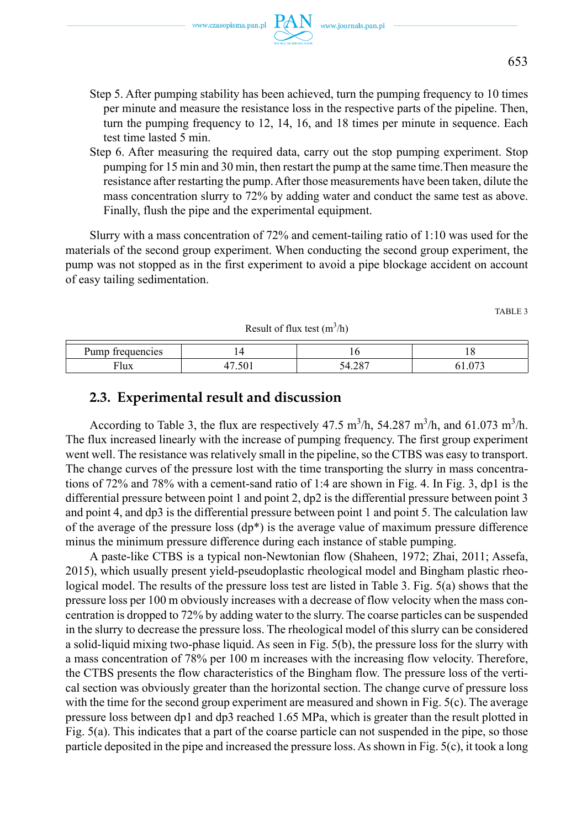www.czasopisma.pan.pl  $PAN$  www.journals.pan.pl

- Step 5. After pumping stability has been achieved, turn the pumping frequency to 10 times per minute and measure the resistance loss in the respective parts of the pipeline. Then, turn the pumping frequency to 12, 14, 16, and 18 times per minute in sequence. Each test time lasted 5 min.
- Step 6. After measuring the required data, carry out the stop pumping experiment. Stop pumping for 15 min and 30 min, then restart the pump at the same time.Then measure the resistance after restarting the pump. After those measurements have been taken, dilute the mass concentration slurry to 72% by adding water and conduct the same test as above. Finally, flush the pipe and the experimental equipment.

Slurry with a mass concentration of 72% and cement-tailing ratio of 1:10 was used for the materials of the second group experiment. When conducting the second group experiment, the pump was not stopped as in the first experiment to avoid a pipe blockage accident on account of easy tailing sedimentation.

TABLE 3

| Result of flux test $(m3/h)$ |  |          |              |  |  |  |  |
|------------------------------|--|----------|--------------|--|--|--|--|
| Pump frequencies             |  |          |              |  |  |  |  |
| $\overline{\text{v}}$ lux    |  | $\Omega$ | $07^{\circ}$ |  |  |  |  |

# **2.3. Experimental result and discussion**

According to Table 3, the flux are respectively  $47.5 \text{ m}^3/\text{h}$ ,  $54.287 \text{ m}^3/\text{h}$ , and  $61.073 \text{ m}^3/\text{h}$ . The flux increased linearly with the increase of pumping frequency. The first group experiment went well. The resistance was relatively small in the pipeline, so the CTBS was easy to transport. The change curves of the pressure lost with the time transporting the slurry in mass concentrations of 72% and 78% with a cement-sand ratio of 1:4 are shown in Fig. 4. In Fig. 3, dp1 is the differential pressure between point 1 and point 2, dp2 is the differential pressure between point 3 and point 4, and dp3 is the differential pressure between point 1 and point 5. The calculation law of the average of the pressure loss  $(dp^*)$  is the average value of maximum pressure difference minus the minimum pressure difference during each instance of stable pumping.

A paste-like CTBS is a typical non-Newtonian flow (Shaheen, 1972; Zhai, 2011; Assefa, 2015), which usually present yield-pseudoplastic rheological model and Bingham plastic rheological model. The results of the pressure loss test are listed in Table 3. Fig. 5(a) shows that the pressure loss per 100 m obviously increases with a decrease of flow velocity when the mass concentration is dropped to 72% by adding water to the slurry. The coarse particles can be suspended in the slurry to decrease the pressure loss. The rheological model of this slurry can be considered a solid-liquid mixing two-phase liquid. As seen in Fig. 5(b), the pressure loss for the slurry with a mass concentration of 78% per 100 m increases with the increasing flow velocity. Therefore, the CTBS presents the flow characteristics of the Bingham flow. The pressure loss of the vertical section was obviously greater than the horizontal section. The change curve of pressure loss with the time for the second group experiment are measured and shown in Fig. 5(c). The average pressure loss between dp1 and dp3 reached 1.65 MPa, which is greater than the result plotted in Fig. 5(a). This indicates that a part of the coarse particle can not suspended in the pipe, so those particle deposited in the pipe and increased the pressure loss. As shown in Fig. 5(c), it took a long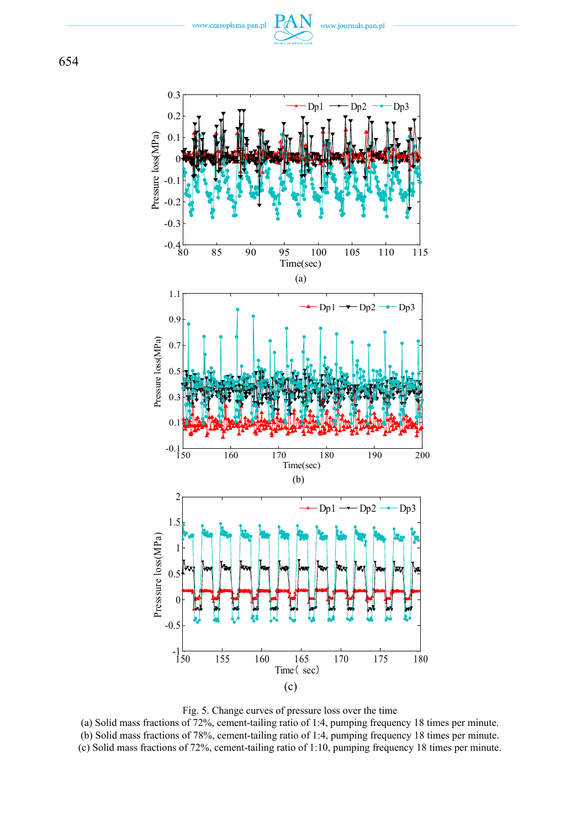www.czasopisma.pan.pl







(a) Solid mass fractions of 72%, cement-tailing ratio of 1:4, pumping frequency 18 times per minute. (b) Solid mass fractions of 78%, cement-tailing ratio of 1:4, pumping frequency 18 times per minute. (c) Solid mass fractions of 72%, cement-tailing ratio of 1:10, pumping frequency 18 times per minute.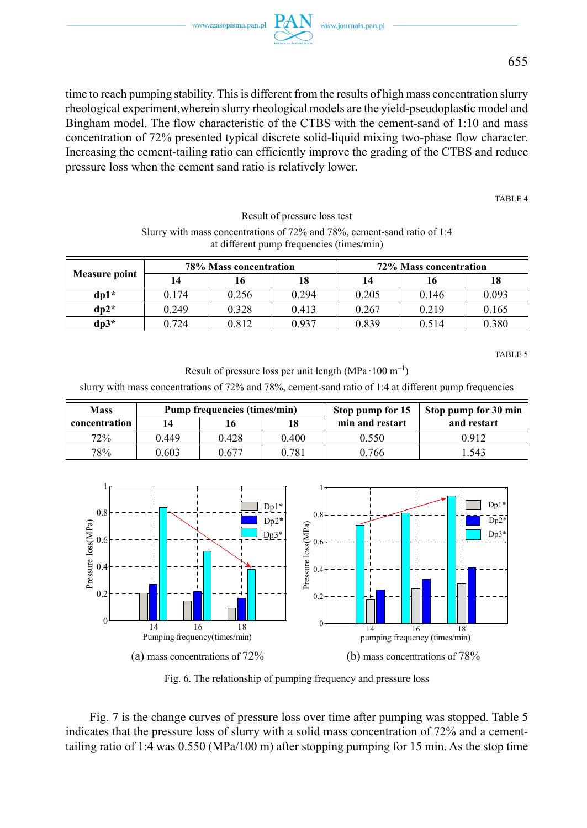

time to reach pumping stability. This is different from the results of high mass concentration slurry rheological experiment,wherein slurry rheological models are the yield-pseudoplastic model and Bingham model. The flow characteristic of the CTBS with the cement-sand of 1:10 and mass concentration of 72% presented typical discrete solid-liquid mixing two-phase flow character. Increasing the cement-tailing ratio can efficiently improve the grading of the CTBS and reduce pressure loss when the cement sand ratio is relatively lower.

TABLE 4

Result of pressure loss test

| Surry with mass concentrations of $72\%$ and $78\%$ , cement-sand ratio of 1:4 |
|--------------------------------------------------------------------------------|
| at different pump frequencies (times/min)                                      |

| <b>Measure point</b> | 78% Mass concentration |       |       | 72% Mass concentration |       |       |
|----------------------|------------------------|-------|-------|------------------------|-------|-------|
|                      | 14                     | 16    | 18    | 14                     | 16    | 18    |
| $d_{\rm D}1^*$       | 0.174                  | 0.256 | 0.294 | 0.205                  | 0.146 | 0.093 |
| $dp2*$               | 0.249                  | 0.328 | 0.413 | 0.267                  | 0.219 | 0.165 |
| $dp3*$               | 0.724                  | 0.812 | 0.937 | 0.839                  | 0.514 | 0.380 |

TABLE 5

Result of pressure loss per unit length  $(MPa \cdot 100 \text{ m}^{-1})$ 

slurry with mass concentrations of 72% and 78%, cement-sand ratio of 1:4 at different pump frequencies

| <b>Mass</b>   |       | <b>Pump frequencies (times/min)</b> |       | Stop pump for 15 | Stop pump for 30 min |  |
|---------------|-------|-------------------------------------|-------|------------------|----------------------|--|
| concentration | 14    |                                     | 18    | min and restart  | and restart          |  |
| 72%           | 0.449 | 0.428                               | 0.400 | 0.550            | 0.912                |  |
| 78%           | 0.603 | 0.677                               | 0.781 | 0.766            | .543                 |  |



Fig. 6. The relationship of pumping frequency and pressure loss

Fig. 7 is the change curves of pressure loss over time after pumping was stopped. Table 5 indicates that the pressure loss of slurry with a solid mass concentration of 72% and a cementtailing ratio of 1:4 was 0.550 (MPa/100 m) after stopping pumping for 15 min. As the stop time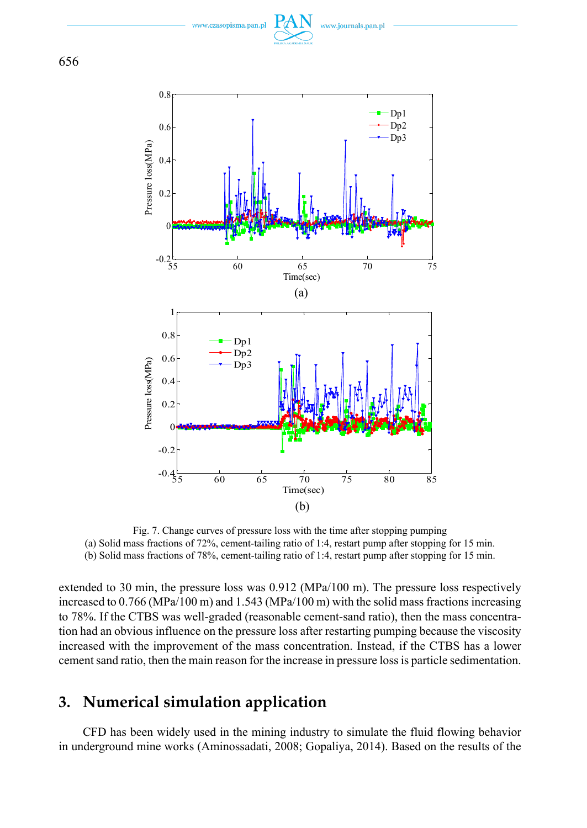www.czasopisma.pan.p





Fig. 7. Change curves of pressure loss with the time after stopping pumping (a) Solid mass fractions of 72%, cement-tailing ratio of 1:4, restart pump after stopping for 15 min. (b) Solid mass fractions of 78%, cement-tailing ratio of 1:4, restart pump after stopping for 15 min.

extended to 30 min, the pressure loss was 0.912 (MPa/100 m). The pressure loss respectively increased to 0.766 (MPa/100 m) and 1.543 (MPa/100 m) with the solid mass fractions increasing to 78%. If the CTBS was well-graded (reasonable cement-sand ratio), then the mass concentration had an obvious influence on the pressure loss after restarting pumping because the viscosity increased with the improvement of the mass concentration. Instead, if the CTBS has a lower cement sand ratio, then the main reason for the increase in pressure loss is particle sedimentation.

# **3. Numerical simulation application**

CFD has been widely used in the mining industry to simulate the fluid flowing behavior in underground mine works (Aminossadati, 2008; Gopaliya, 2014). Based on the results of the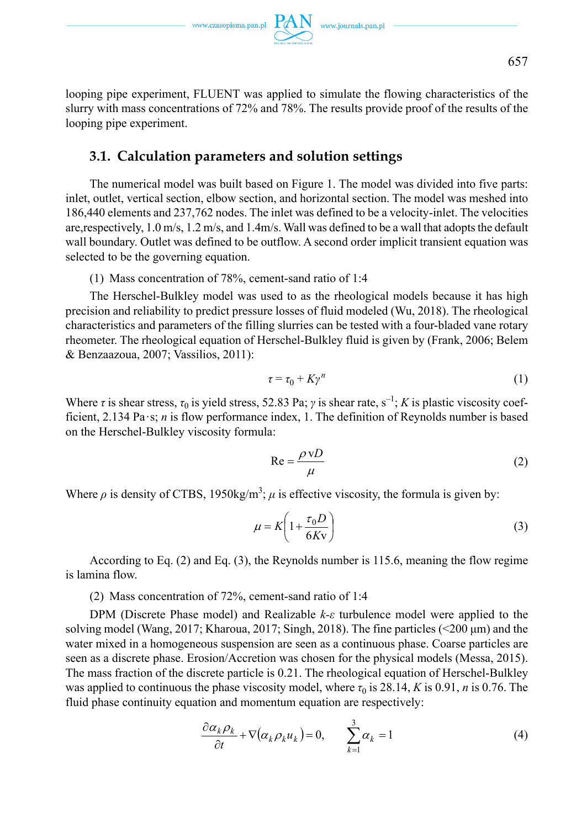looping pipe experiment, FLUENT was applied to simulate the flowing characteristics of the slurry with mass concentrations of 72% and 78%. The results provide proof of the results of the looping pipe experiment.

### **3.1. Calculation parameters and solution settings**

The numerical model was built based on Figure 1. The model was divided into five parts: inlet, outlet, vertical section, elbow section, and horizontal section. The model was meshed into 186,440 elements and 237,762 nodes. The inlet was defined to be a velocity-inlet. The velocities are,respectively, 1.0 m/s, 1.2 m/s, and 1.4m/s. Wall was defined to be a wall that adopts the default wall boundary. Outlet was defined to be outflow. A second order implicit transient equation was selected to be the governing equation.

(1) Mass concentration of 78%, cement-sand ratio of 1:4

The Herschel-Bulkley model was used to as the rheological models because it has high precision and reliability to predict pressure losses of fluid modeled (Wu, 2018). The rheological characteristics and parameters of the filling slurries can be tested with a four-bladed vane rotary rheometer. The rheological equation of Herschel-Bulkley fluid is given by (Frank, 2006; Belem & Benzaazoua, 2007; Vassilios, 2011):

$$
\tau = \tau_0 + K\gamma^n \tag{1}
$$

Where *τ* is shear stress,  $\tau_0$  is yield stress, 52.83 Pa; *γ* is shear rate, s<sup>-1</sup>; *K* is plastic viscosity coefficient, 2.134 Pa·s; *n* is flow performance index, 1. The definition of Reynolds number is based on the Herschel-Bulkley viscosity formula:

$$
Re = \frac{\rho v D}{\mu}
$$
 (2)

Where  $\rho$  is density of CTBS, 1950kg/m<sup>3</sup>;  $\mu$  is effective viscosity, the formula is given by:

$$
\mu = K \left( 1 + \frac{\tau_0 D}{6Kv} \right) \tag{3}
$$

According to Eq. (2) and Eq. (3), the Reynolds number is 115.6, meaning the flow regime is lamina flow.

(2) Mass concentration of 72%, cement-sand ratio of 1:4

DPM (Discrete Phase model) and Realizable *k-ε* turbulence model were applied to the solving model (Wang, 2017; Kharoua, 2017; Singh, 2018). The fine particles (<200 μm) and the water mixed in a homogeneous suspension are seen as a continuous phase. Coarse particles are seen as a discrete phase. Erosion/Accretion was chosen for the physical models (Messa, 2015). The mass fraction of the discrete particle is 0.21. The rheological equation of Herschel-Bulkley was applied to continuous the phase viscosity model, where  $\tau_0$  is 28.14, *K* is 0.91, *n* is 0.76. The fluid phase continuity equation and momentum equation are respectively:

$$
\frac{\partial \alpha_k \rho_k}{\partial t} + \nabla (\alpha_k \rho_k u_k) = 0, \qquad \sum_{k=1}^3 \alpha_k = 1 \tag{4}
$$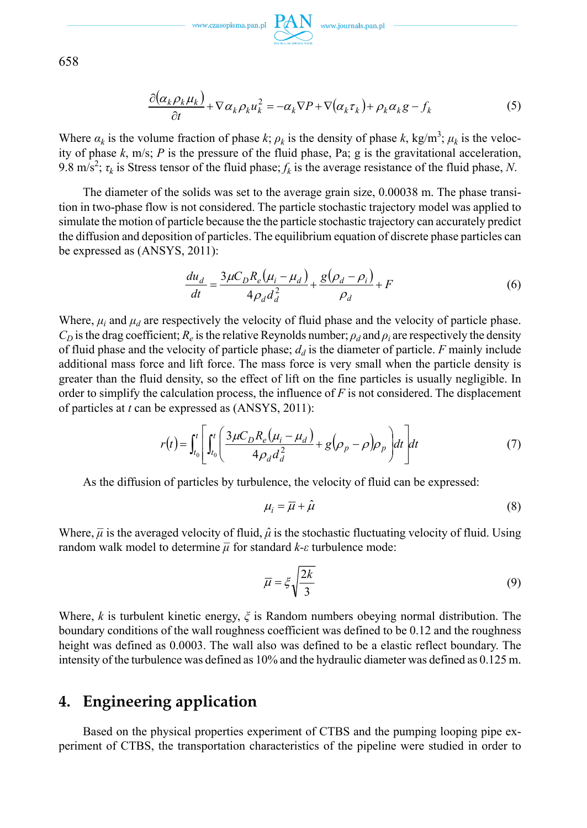

658

$$
\frac{\partial(\alpha_k \rho_k \mu_k)}{\partial t} + \nabla \alpha_k \rho_k u_k^2 = -\alpha_k \nabla P + \nabla(\alpha_k \tau_k) + \rho_k \alpha_k g - f_k \tag{5}
$$

Where  $\alpha_k$  is the volume fraction of phase  $k$ ;  $\rho_k$  is the density of phase  $k$ , kg/m<sup>3</sup>;  $\mu_k$  is the velocity of phase  $k$ , m/s;  $P$  is the pressure of the fluid phase, Pa;  $g$  is the gravitational acceleration, 9.8 m/s<sup>2</sup>;  $\tau_k$  is Stress tensor of the fluid phase;  $f_k$  is the average resistance of the fluid phase, *N*.

The diameter of the solids was set to the average grain size, 0.00038 m. The phase transition in two-phase flow is not considered. The particle stochastic trajectory model was applied to simulate the motion of particle because the the particle stochastic trajectory can accurately predict the diffusion and deposition of particles. The equilibrium equation of discrete phase particles can be expressed as (ANSYS, 2011):

$$
\frac{du_d}{dt} = \frac{3\mu C_D R_e (\mu_i - \mu_d)}{4\rho_d d_d^2} + \frac{g(\rho_d - \rho_i)}{\rho_d} + F
$$
(6)

Where,  $\mu_i$  and  $\mu_d$  are respectively the velocity of fluid phase and the velocity of particle phase.  $C_D$  is the drag coefficient;  $R_e$  is the relative Reynolds number;  $\rho_d$  and  $\rho_i$  are respectively the density of fluid phase and the velocity of particle phase;  $d_d$  is the diameter of particle. *F* mainly include additional mass force and lift force. The mass force is very small when the particle density is greater than the fluid density, so the effect of lift on the fine particles is usually negligible. In order to simplify the calculation process, the influence of *F* is not considered. The displacement of particles at *t* can be expressed as (ANSYS, 2011):

$$
r(t) = \int_{t_0}^t \left[ \int_{t_0}^t \left( \frac{3\mu C_D R_e(\mu_i - \mu_d)}{4\rho_d d_d^2} + g(\rho_p - \rho)\rho_p \right) dt \right] dt \tag{7}
$$

As the diffusion of particles by turbulence, the velocity of fluid can be expressed:

$$
\mu_i = \overline{\mu} + \hat{\mu} \tag{8}
$$

Where,  $\bar{\mu}$  is the averaged velocity of fluid,  $\hat{\mu}$  is the stochastic fluctuating velocity of fluid. Using random walk model to determine  $\bar{\mu}$  for standard  $k$ -*ε* turbulence mode:

$$
\overline{\mu} = \xi \sqrt{\frac{2k}{3}} \tag{9}
$$

Where, *k* is turbulent kinetic energy, *ξ* is Random numbers obeying normal distribution. The boundary conditions of the wall roughness coefficient was defined to be 0.12 and the roughness height was defined as 0.0003. The wall also was defined to be a elastic reflect boundary. The intensity of the turbulence was defined as 10% and the hydraulic diameter was defined as 0.125 m.

# **4. Engineering application**

Based on the physical properties experiment of CTBS and the pumping looping pipe experiment of CTBS, the transportation characteristics of the pipeline were studied in order to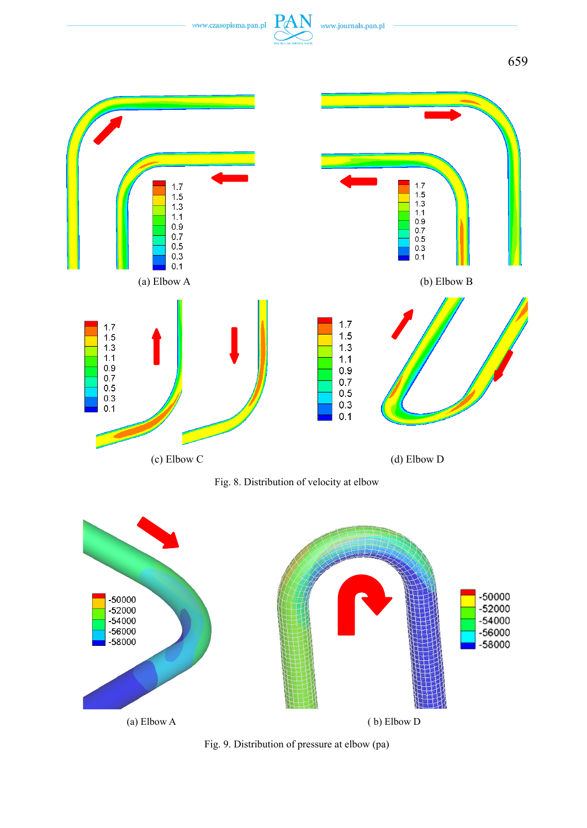



Fig. 9. Distribution of pressure at elbow (pa)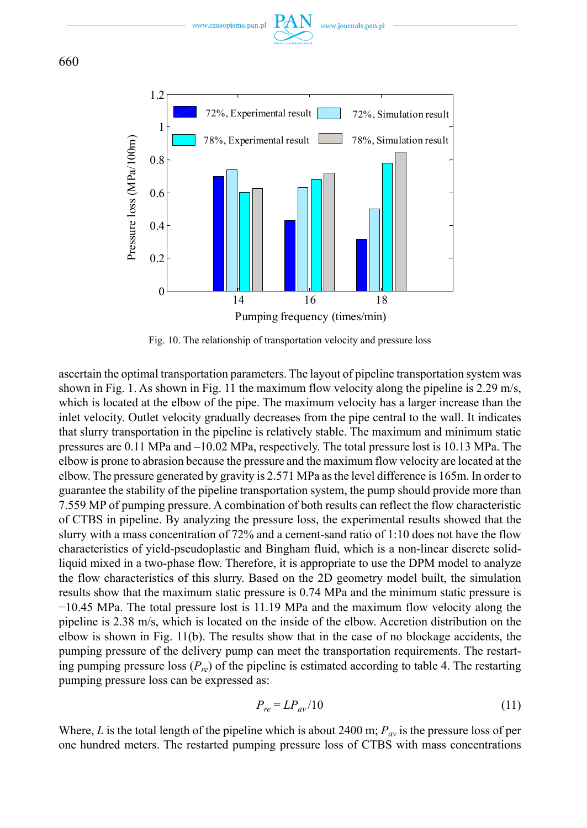





Fig. 10. The relationship of transportation velocity and pressure loss

ascertain the optimal transportation parameters. The layout of pipeline transportation system was shown in Fig. 1. As shown in Fig. 11 the maximum flow velocity along the pipeline is 2.29 m/s, which is located at the elbow of the pipe. The maximum velocity has a larger increase than the inlet velocity. Outlet velocity gradually decreases from the pipe central to the wall. It indicates that slurry transportation in the pipeline is relatively stable. The maximum and minimum static pressures are 0.11 MPa and –10.02 MPa, respectively. The total pressure lost is 10.13 MPa. The elbow is prone to abrasion because the pressure and the maximum flow velocity are located at the elbow. The pressure generated by gravity is 2.571 MPa as the level difference is 165m. In order to guarantee the stability of the pipeline transportation system, the pump should provide more than 7.559 MP of pumping pressure. A combination of both results can reflect the flow characteristic of CTBS in pipeline. By analyzing the pressure loss, the experimental results showed that the slurry with a mass concentration of 72% and a cement-sand ratio of 1:10 does not have the flow characteristics of yield-pseudoplastic and Bingham fluid, which is a non-linear discrete solidliquid mixed in a two-phase flow. Therefore, it is appropriate to use the DPM model to analyze the flow characteristics of this slurry. Based on the 2D geometry model built, the simulation results show that the maximum static pressure is 0.74 MPa and the minimum static pressure is −10.45 MPa. The total pressure lost is 11.19 MPa and the maximum flow velocity along the pipeline is 2.38 m/s, which is located on the inside of the elbow. Accretion distribution on the elbow is shown in Fig. 11(b). The results show that in the case of no blockage accidents, the pumping pressure of the delivery pump can meet the transportation requirements. The restarting pumping pressure loss  $(P_{r})$  of the pipeline is estimated according to table 4. The restarting pumping pressure loss can be expressed as:

$$
P_{re} = LP_{av}/10\tag{11}
$$

Where, *L* is the total length of the pipeline which is about 2400 m;  $P_{av}$  is the pressure loss of per one hundred meters. The restarted pumping pressure loss of CTBS with mass concentrations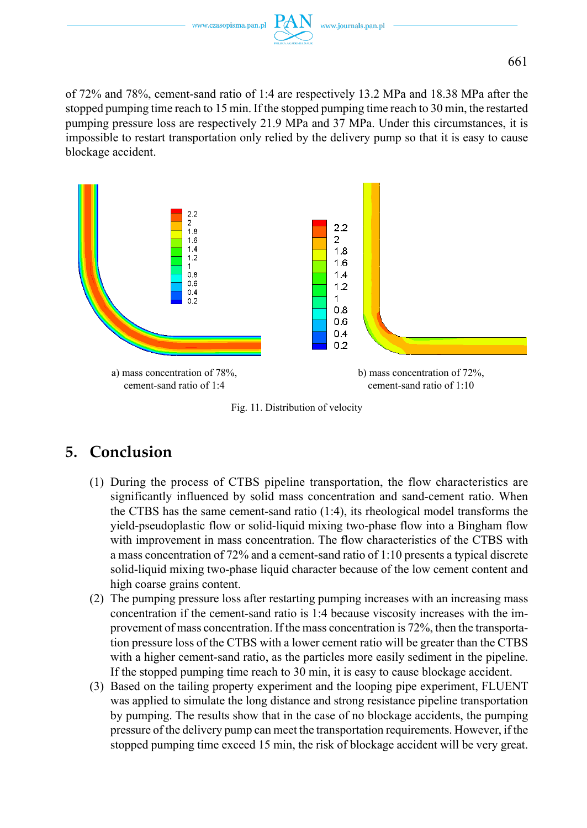

of 72% and 78%, cement-sand ratio of 1:4 are respectively 13.2 MPa and 18.38 MPa after the stopped pumping time reach to 15 min. If the stopped pumping time reach to 30 min, the restarted pumping pressure loss are respectively 21.9 MPa and 37 MPa. Under this circumstances, it is impossible to restart transportation only relied by the delivery pump so that it is easy to cause blockage accident.



Fig. 11. Distribution of velocity

# **5. Conclusion**

- (1) During the process of CTBS pipeline transportation, the flow characteristics are significantly influenced by solid mass concentration and sand-cement ratio. When the CTBS has the same cement-sand ratio (1:4), its rheological model transforms the yield-pseudoplastic flow or solid-liquid mixing two-phase flow into a Bingham flow with improvement in mass concentration. The flow characteristics of the CTBS with a mass concentration of 72% and a cement-sand ratio of 1:10 presents a typical discrete solid-liquid mixing two-phase liquid character because of the low cement content and high coarse grains content.
- (2) The pumping pressure loss after restarting pumping increases with an increasing mass concentration if the cement-sand ratio is 1:4 because viscosity increases with the improvement of mass concentration. If the mass concentration is 72%, then the transportation pressure loss of the CTBS with a lower cement ratio will be greater than the CTBS with a higher cement-sand ratio, as the particles more easily sediment in the pipeline. If the stopped pumping time reach to 30 min, it is easy to cause blockage accident.
- (3) Based on the tailing property experiment and the looping pipe experiment, FLUENT was applied to simulate the long distance and strong resistance pipeline transportation by pumping. The results show that in the case of no blockage accidents, the pumping pressure of the delivery pump can meet the transportation requirements. However, if the stopped pumping time exceed 15 min, the risk of blockage accident will be very great.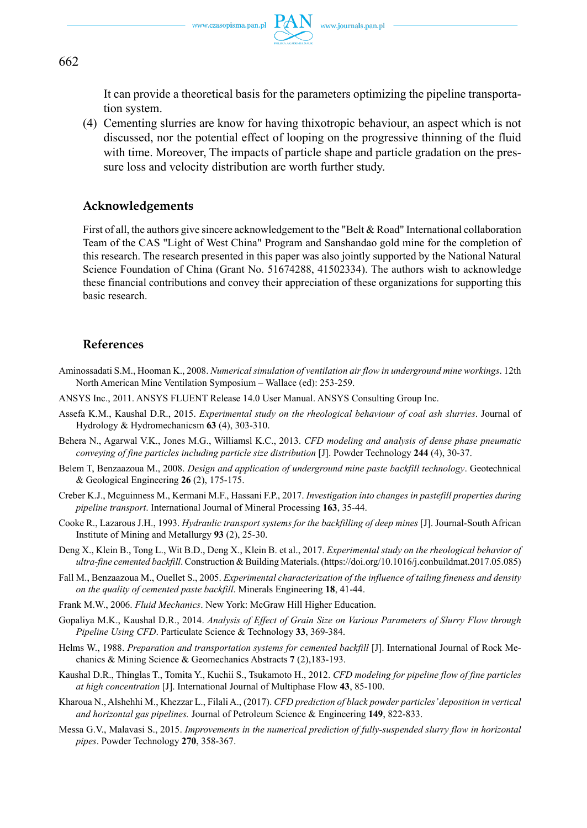

662

It can provide a theoretical basis for the parameters optimizing the pipeline transportation system.

(4) Cementing slurries are know for having thixotropic behaviour, an aspect which is not discussed, nor the potential effect of looping on the progressive thinning of the fluid with time. Moreover, The impacts of particle shape and particle gradation on the pressure loss and velocity distribution are worth further study.

### **Acknowledgements**

First of all, the authors give sincere acknowledgement to the "Belt & Road" International collaboration Team of the CAS "Light of West China" Program and Sanshandao gold mine for the completion of this research. The research presented in this paper was also jointly supported by the National Natural Science Foundation of China (Grant No. 51674288, 41502334). The authors wish to acknowledge these financial contributions and convey their appreciation of these organizations for supporting this basic research.

### **References**

- Aminossadati S.M., Hooman K., 2008. *Numerical simulation of ventilation air flow in underground mine workings*. 12th North American Mine Ventilation Symposium – Wallace (ed): 253-259.
- ANSYS Inc., 2011. ANSYS FLUENT Release 14.0 User Manual. ANSYS Consulting Group Inc.
- Assefa K.M., Kaushal D.R., 2015. *Experimental study on the rheological behaviour of coal ash slurries*. Journal of Hydrology & Hydromechanicsm **63** (4), 303-310.
- Behera N., Agarwal V.K., Jones M.G., Williamsl K.C., 2013. *CFD modeling and analysis of dense phase pneumatic conveying of fine particles including particle size distribution* [J]. Powder Technology **244** (4), 30-37.
- Belem T, Benzaazoua M., 2008. *Design and application of underground mine paste backfill technology*. Geotechnical & Geological Engineering **26** (2), 175-175.
- Creber K.J., Mcguinness M., Kermani M.F., Hassani F.P., 2017. *Investigation into changes in pastefill properties during pipeline transport*. International Journal of Mineral Processing **163**, 35-44.
- Cooke R., Lazarous J.H., 1993. *Hydraulic transport systems for the backfilling of deep mines* [J]. Journal-South African Institute of Mining and Metallurgy **93** (2), 25-30.
- Deng X., Klein B., Tong L., Wit B.D., Deng X., Klein B. et al., 2017. *Experimental study on the rheological behavior of ultra-fine cemented backfill*. Construction & Building Materials. (https://doi.org/10.1016/j.conbuildmat.2017.05.085)
- Fall M., Benzaazoua M., Ouellet S., 2005. *Experimental characterization of the influence of tailing fineness and density on the quality of cemented paste backfill*. Minerals Engineering **18**, 41-44.
- Frank M.W., 2006. *Fluid Mechanics*. New York: McGraw Hill Higher Education.
- Gopaliya M.K., Kaushal D.R., 2014. *Analysis of Effect of Grain Size on Various Parameters of Slurry Flow through Pipeline Using CFD*. Particulate Science & Technology **33**, 369-384.
- Helms W., 1988. Preparation and transportation systems for cemented backfill [J]. International Journal of Rock Mechanics & Mining Science & Geomechanics Abstracts **7** (2),183-193.
- Kaushal D.R., Thinglas T., Tomita Y., Kuchii S., Tsukamoto H., 2012. *CFD modeling for pipeline flow of fine particles at high concentration* [J]. International Journal of Multiphase Flow **43**, 85-100.
- Kharoua N., Alshehhi M., Khezzar L., Filali A., (2017). *CFD prediction of black powder particles' deposition in vertical and horizontal gas pipelines.* Journal of Petroleum Science & Engineering **149**, 822-833.
- Messa G.V., Malavasi S., 2015. *Improvements in the numerical prediction of fully-suspended slurry flow in horizontal pipes*. Powder Technology **270**, 358-367.